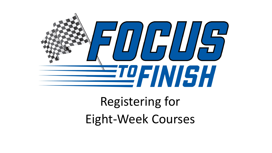

Registering for Eight-Week Courses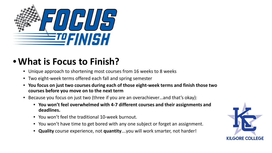

### •**What is Focus to Finish?**

- Unique approach to shortening most courses from 16 weeks to 8 weeks
- Two eight-week terms offered each fall and spring semester
- **You focus on just two courses during each of those eight-week terms and finish those two courses before you move on to the next term**
- Because you focus on just two (three if you are an overachiever…and that's okay):
	- **You won't feel overwhelmed with 4-7 different courses and their assignments and deadlines.**
	- You won't feel the traditional 10-week burnout.
	- You won't have time to get bored with any one subject or forget an assignment.
	- **Quality** course experience, not **quantity**….you will work smarter, not harder!

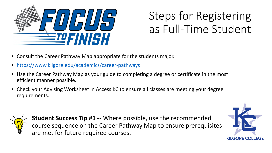

# Steps for Registering as Full-Time Student

- Consult the Career Pathway Map appropriate for the students major.
- <https://www.kilgore.edu/academics/career-pathways>
- Use the Career Pathway Map as your guide to completing a degree or certificate in the most efficient manner possible.
- Check your Advising Worksheet in Access KC to ensure all classes are meeting your degree requirements.



**Student Success Tip #1 --** Where possible, use the recommended course sequence on the Career Pathway Map to ensure prerequisites are met for future required courses.

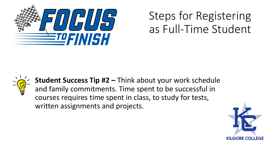

## Steps for Registering as Full-Time Student



**Student Success Tip #2 –** Think about your work schedule and family commitments. Time spent to be successful in courses requires time spent in class, to study for tests, written assignments and projects.

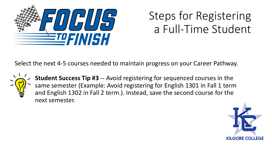

## Steps for Registering a Full-Time Student

Select the next 4-5 courses needed to maintain progress on your Career Pathway.



**Student Success Tip #3** -- Avoid registering for sequenced courses in the same semester (Example: Avoid registering for English 1301 in Fall 1 term and English 1302 in Fall 2 term.). Instead, save the second course for the next semester.

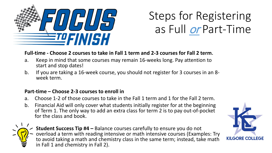

# Steps for Registering as Full or Part-Time

#### **Full-time - Choose 2 courses to take in Fall 1 term and 2-3 courses for Fall 2 term**.

- a. Keep in mind that some courses may remain 16-weeks long. Pay attention to start and stop dates!
- b. If you are taking a 16-week course, you should not register for 3 courses in an 8- week term.

#### **Part-time – Choose 2-3 courses to enroll in**

- a. Choose 1-2 of those courses to take in the Fall 1 term and 1 for the Fall 2 term.
- b. Financial Aid will only cover what students initially register for at the beginning of Term 1. The only way to add an extra class for term 2 is to pay out-of-pocket for the class and book.



**Student Success Tip #4 –** Balance courses carefully to ensure you do not overload a term with reading intensive or math intensive courses (Examples: Try to avoid taking a math and chemistry class in the same term; instead, take math in Fall 1 and chemistry in Fall 2).

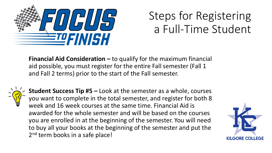

# Steps for Registering a Full-Time Student

**Financial Aid Consideration –** to qualify for the maximum financial aid possible, you must register for the entire Fall semester (Fall 1 and Fall 2 terms) prior to the start of the Fall semester.



**Student Success Tip #5 –** Look at the semester as a whole, courses you want to complete in the total semester, and register for both 8 week and 16 week courses at the same time. Financial Aid is awarded for the whole semester and will be based on the courses you are enrolled in at the beginning of the semester. You will need to buy all your books at the beginning of the semester and put the 2<sup>nd</sup> term books in a safe place!